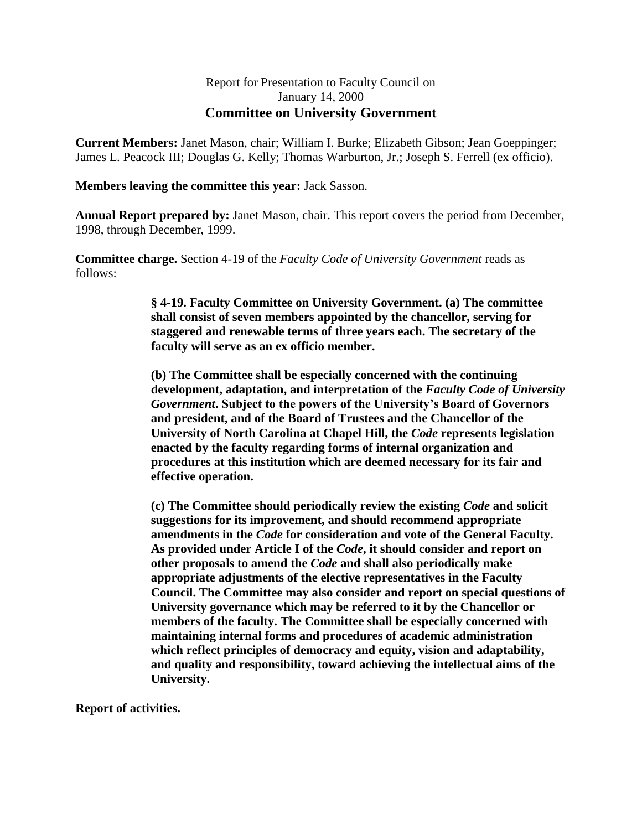## Report for Presentation to Faculty Council on January 14, 2000 **Committee on University Government**

**Current Members:** Janet Mason, chair; William I. Burke; Elizabeth Gibson; Jean Goeppinger; James L. Peacock III; Douglas G. Kelly; Thomas Warburton, Jr.; Joseph S. Ferrell (ex officio).

## **Members leaving the committee this year:** Jack Sasson.

**Annual Report prepared by:** Janet Mason, chair. This report covers the period from December, 1998, through December, 1999.

**Committee charge.** Section 4-19 of the *Faculty Code of University Government* reads as follows:

> **§ 4-19. Faculty Committee on University Government. (a) The committee shall consist of seven members appointed by the chancellor, serving for staggered and renewable terms of three years each. The secretary of the faculty will serve as an ex officio member.**

**(b) The Committee shall be especially concerned with the continuing development, adaptation, and interpretation of the** *Faculty Code of University Government***. Subject to the powers of the University's Board of Governors and president, and of the Board of Trustees and the Chancellor of the University of North Carolina at Chapel Hill, the** *Code* **represents legislation enacted by the faculty regarding forms of internal organization and procedures at this institution which are deemed necessary for its fair and effective operation.**

**(c) The Committee should periodically review the existing** *Code* **and solicit suggestions for its improvement, and should recommend appropriate amendments in the** *Code* **for consideration and vote of the General Faculty. As provided under Article I of the** *Code***, it should consider and report on other proposals to amend the** *Code* **and shall also periodically make appropriate adjustments of the elective representatives in the Faculty Council. The Committee may also consider and report on special questions of University governance which may be referred to it by the Chancellor or members of the faculty. The Committee shall be especially concerned with maintaining internal forms and procedures of academic administration which reflect principles of democracy and equity, vision and adaptability, and quality and responsibility, toward achieving the intellectual aims of the University.**

**Report of activities.**